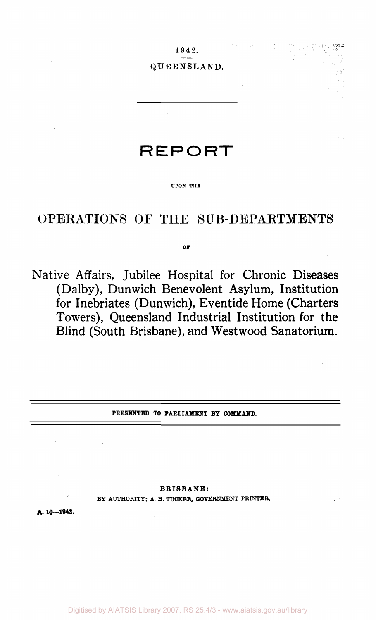1942.

### QUEENSLAND.

# **REPORT**

#### **UPON THE**

## OPERATIONS OF THE SUB-DEPARTMENTS

**or** 

Native Affairs, Jubilee Hospital for Chronic Diseases (Dalby), Dunwich Benevolent Asylum, Institution for Inebriates (Dunwich), Eventide Home (Charters Towers), Queensland Industrial Institution for the Blind (South Brisbane), and Westwood Sanatorium.

**PRESENTED TO PARLIAMENT BY COMMAND.** 

### **BRISBANE:**

**BY AUTHORITY: A. H. TUCKER, GOVERNMENT PRINTER.** 

**A. 10—1942.**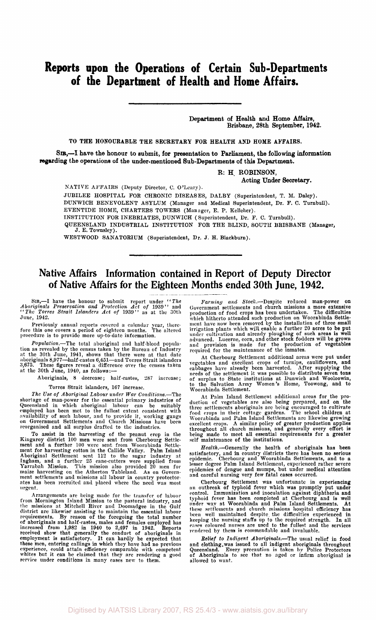## **Reports upon the Operations of Certain Sub-Departments of the Department of Health and Home Affairs.**

**Department of Health and Home Affairs, Brisbane, 28th September, 1942.** 

**TO THE HONOURABLE THE SECRETARY FOR HEALTH AND HOME AFFAIRS.** 

**SIR,—I have the honour to submit, for presentation to Parliament, the following information regarding the operations of the under-mentioned Sub-Departments of this Department.** 

**R: H. ROBINSON,** 

**Acting Under Secretary.** 

NATIVE AFFAIRS (Deputy Director, C. O'Leary).

JUBILEE HOSPITAL FOR CHRONIC DISEASES, DALBY (Superintendent, T. M. Daley). DUNWICH BENEVOLENT ASYLUM (Manager and Medical Superintendent, Dr. F. C. Turnbull). EVENTIDE HOME, CHARTERS TOWERS (Manager, E. P. Kelleher). INSTITUTION FOR INEBRIATES, DUNWICH (Superintendent, Dr. F. C. Turnbull).

QUEENSLAND INDUSTRIAL INSTITUTION FOR THE BLIND, SOUTH BRISBANE (Manager, J. E. Townsley).

WESTWOOD SANATORIUM (Superintendent, Dr. J. H. Blackburn).

### Native Affairs Information contained in Report of Deputy Director of Native Affairs for the Eighteen Months ended 30th June, 1942.

Sir—I have the honour to submit report under *"The Aboriginals Preservation and Protection Act of* 1939 " and *"The Torres Strait Islanders Act of* 1939" as at the 30th June, 1942.

Previously annual reports covered a calendar year, there-fore this one covers a period of eighteen months. The altered procedure is to provide more up-to-date information.

*Population.*—The total aboriginal and half-blood population as revealed by the census taken by the Bureau of Industry<br>at the 30th June, 1941, shows that there were at that date<br>aboriginals 8,977—half-castes 6,451—and Torres Strait islanders<br>3,675. These figures reveal a differ

Aboriginals, 8 decrease; half-castes, 287 increase;

Torres Strait islanders, 167 increase.

*The Use of Aboriginal Labour under War Conditions.*—The shortage of man-power for the essential primary industries of Queensland in which aboriginal labour can be suitably employed has been met to the fullest extent consistent with availability of such labour, and to provide it, working gangs on Government Settlements and Church Missions have been reorganised and all surplus drafted to the industries.

To assist in the harvesting of the peanut crop in the<br>Kingaroy district 100 men were sent from Cherbourg Settle-<br>ment and a further 100 were sent from Woorabinda Settle-<br>ment for harvesting cotton in the Callide Valley. Pa urgent.

Arrangements are being made for the transfer of labour<br>from Mornington Island Mission to the pastoral industry, and<br>the missions at Mitchell River and Doomadgee in the Gulf<br>district are likewise assisting to maintain the e

Farming and Stock.—Despite reduced man-power on Government settlements and church missions a more extensive production of food crops has been undertaken. The difficulties which hitherto attended such production on Woorabi

At Cherbourg Settlement additional areas were put under<br>regetables and excellent crops of turnips, cauliflowers, and<br>cabbages have already been harvested. After supplying the<br>needs of the settlement it was possible to dist

At Palm Island Settlement additional areas for the pro-<br>duction of vegetables are also being prepared, and on the<br>three settlements aboriginals are being encouraged to cultivate<br>food crops in their cottage gardens. The sch excellent crops. A similar policy of greater production applies<br>throughout all church missions, and generally every effort is<br>being made to meet all essential requirements for a greater<br>self maintenance of the institutions

Health.—Generally the health of aboriginals has been<br>satisfactory, and in country districts there has been no serious<br>epidemic. Cherbourg and Woorabinda Settlements, and to a<br>lesser degree Palm Island Settlement, experienc

Cherbourg Settlement was unfortunate in experiencing<br>an outbreak of typhoid fever which was promptly put under<br>control. Immunization and incoludation against diphtheria and<br>typhoid fever has been completed at Cherbourg and

*Belief to Indigent Aboriginals.*—The usual relief in food and clothing.was issued to all indigent aboriginals throughout Queensland. Every precaution is taken by Police Protectors of Aboriginals to sec that no aged or infirm aboriginal is allowed to want.